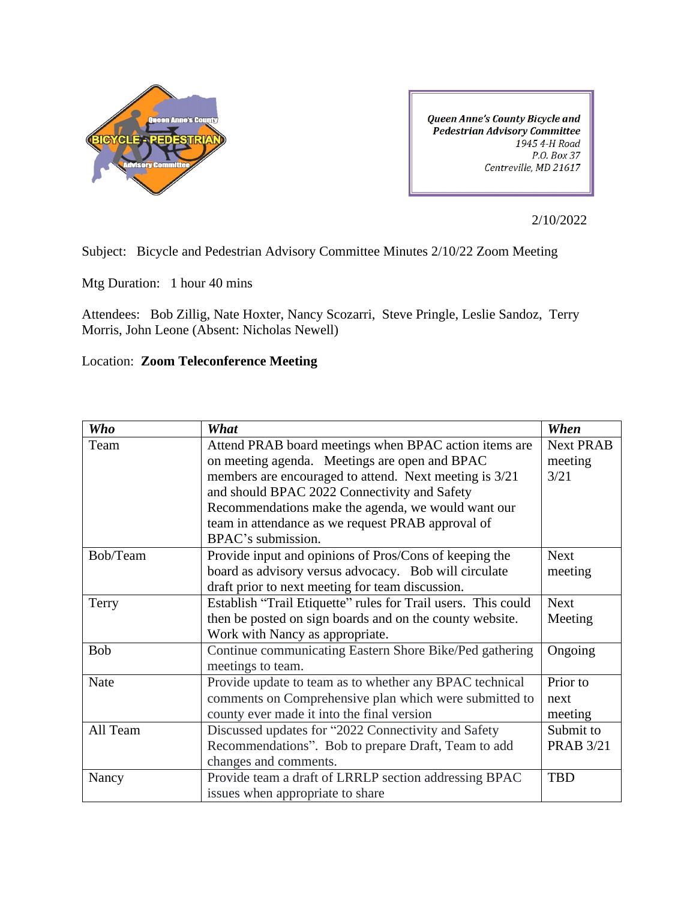

Queen Anne's County Bicycle and **Pedestrian Advisory Committee** 1945 4-H Road P.O. Box 37 Centreville, MD 21617

2/10/2022

Subject: Bicycle and Pedestrian Advisory Committee Minutes 2/10/22 Zoom Meeting

Mtg Duration: 1 hour 40 mins

Attendees: Bob Zillig, Nate Hoxter, Nancy Scozarri, Steve Pringle, Leslie Sandoz, Terry Morris, John Leone (Absent: Nicholas Newell)

## Location: **Zoom Teleconference Meeting**

| <b>Who</b> | What                                                          | When             |
|------------|---------------------------------------------------------------|------------------|
| Team       | Attend PRAB board meetings when BPAC action items are         | <b>Next PRAB</b> |
|            | on meeting agenda. Meetings are open and BPAC                 | meeting          |
|            | members are encouraged to attend. Next meeting is 3/21        | 3/21             |
|            | and should BPAC 2022 Connectivity and Safety                  |                  |
|            | Recommendations make the agenda, we would want our            |                  |
|            | team in attendance as we request PRAB approval of             |                  |
|            | BPAC's submission.                                            |                  |
| Bob/Team   | Provide input and opinions of Pros/Cons of keeping the        | <b>Next</b>      |
|            | board as advisory versus advocacy. Bob will circulate         | meeting          |
|            | draft prior to next meeting for team discussion.              |                  |
| Terry      | Establish "Trail Etiquette" rules for Trail users. This could | <b>Next</b>      |
|            | then be posted on sign boards and on the county website.      | Meeting          |
|            | Work with Nancy as appropriate.                               |                  |
| Bob        | Continue communicating Eastern Shore Bike/Ped gathering       | Ongoing          |
|            | meetings to team.                                             |                  |
| Nate       | Provide update to team as to whether any BPAC technical       | Prior to         |
|            | comments on Comprehensive plan which were submitted to        | next             |
|            | county ever made it into the final version                    | meeting          |
| All Team   | Discussed updates for "2022 Connectivity and Safety           | Submit to        |
|            | Recommendations". Bob to prepare Draft, Team to add           | <b>PRAB 3/21</b> |
|            | changes and comments.                                         |                  |
| Nancy      | Provide team a draft of LRRLP section addressing BPAC         | <b>TBD</b>       |
|            | issues when appropriate to share                              |                  |